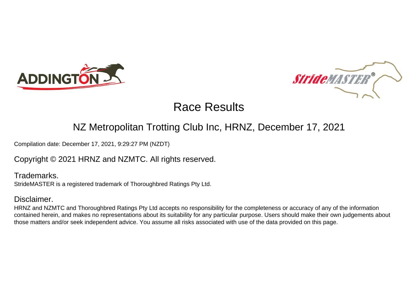



### NZ Metropolitan Trotting Club Inc, HRNZ, December 17, 2021

Compilation date: December 17, 2021, 9:29:27 PM (NZDT)

Copyright © 2021 HRNZ and NZMTC. All rights reserved.

Trademarks. StrideMASTER is a registered trademark of Thoroughbred Ratings Pty Ltd.

### Disclaimer.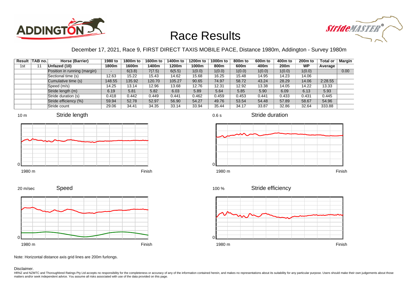



### December 17, 2021, Race 9, FIRST DIRECT TAXIS MOBILE PACE, Distance 1980m, Addington - Survey 1980m

0.6 s

|     | Result TAB no. | Horse (Barrier)              | 1980 to                  | 1800m to | 1600m to | 1400m to | 1200m to | 1000m to | 800m to | 600 <sub>m</sub> to | 400m to | 200 <sub>m</sub> to | <b>Total or</b> | Margin |
|-----|----------------|------------------------------|--------------------------|----------|----------|----------|----------|----------|---------|---------------------|---------|---------------------|-----------------|--------|
| 1st |                | Unfazed (10)                 | 1800m                    | 1600m    | 1400m    | 1200m    | 1000m    | 800m     | 600m    | 400m                | 200m    | <b>WP</b>           | Average         |        |
|     |                | Position in running (margin) | $\overline{\phantom{0}}$ | 6(3.8)   | 7(7.5)   | 6(5.5)   | 1(0.0)   | 1(0.0)   | 1(0.0)  | 1(0.0)              | 1(0.0)  | 1(0.0)              |                 | 0.00   |
|     |                | Sectional time (s)           | 12.63                    | 15.22    | 15.43    | 14.62    | 15.68    | 16.25    | 15.48   | 14.95               | 14.23   | 14.06               |                 |        |
|     |                | Cumulative time (s)          | 148.55                   | 135.92   | 120.70   | 105.27   | 90.65    | 74.97    | 58.72   | 43.24               | 28.29   | 14.06               | 2:28.55         |        |
|     |                | Speed (m/s)                  | 14.25                    | 13.14    | 12.96    | 13.68    | 12.76    | 12.31    | 12.92   | 13.38               | 14.05   | 14.22               | 13.33           |        |
|     |                | Stride length (m)            | 6.19                     | 5.81     | 5.82     | 6.03     | 5.89     | 5.64     | 5.85    | 5.90                | 6.09    | 6.13                | 5.93            |        |
|     |                | Stride duration (s)          | 0.418                    | 0.442    | 0.449    | 0.441    | 0.462    | 0.459    | 0.453   | 0.441               | 0.433   | 0.431               | 0.445           |        |
|     |                | Stride efficiency (%)        | 59.94                    | 52.78    | 52.97    | 56.90    | 54.27    | 49.76    | 53.54   | 54.48               | 57.89   | 58.67               | 54.96           |        |
|     |                | Stride count                 | 29.06                    | 34.41    | 34.35    | 33.14    | 33.94    | 35.44    | 34.17   | 33.87               | 32.86   | 32.64               | 333.88          |        |















Speed 20 m/sec



Note: Horizontal distance axis grid lines are 200m furlongs.

Disclaimer.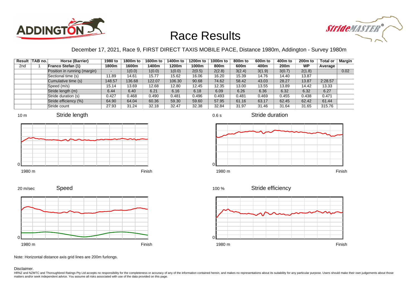



### December 17, 2021, Race 9, FIRST DIRECT TAXIS MOBILE PACE, Distance 1980m, Addington - Survey 1980m

0.6 s

|                 | Result TAB no. | Horse (Barrier)              | 1980 to                  | 1800m to | 1600m to | 1400m to | 1200m to | 1000m to | 800m to | 600 <sub>m</sub> to | 400m to | 200 <sub>m</sub> to | <b>Total or</b> | <b>Margin</b> |
|-----------------|----------------|------------------------------|--------------------------|----------|----------|----------|----------|----------|---------|---------------------|---------|---------------------|-----------------|---------------|
| 2 <sub>nd</sub> |                | <b>Franco Stefan (1)</b>     | 1800m                    | 1600m    | 1400m    | 1200m    | 1000m    | 800m     | 600m    | 400m                | 200m    | <b>WP</b>           | Average         |               |
|                 |                | Position in running (margin) | $\overline{\phantom{0}}$ | 1(0.0)   | 1(0.0)   | 1(0.0)   | 2(0.5)   | 2(2.8)   | 3(2.4)  | 3(1.9)              | 3(0.7)  | 2(1.8)              |                 | 0.02          |
|                 |                | Sectional time (s)           | 11.89                    | 14.61    | 15.77    | 15.62    | 16.06    | 16.20    | 15.39   | 14.76               | 14.40   | 13.87               |                 |               |
|                 |                | Cumulative time (s)          | 148.57                   | 136.68   | 122.07   | 106.30   | 90.68    | 74.62    | 58.42   | 43.03               | 28.27   | 13.87               | 2:28.57         |               |
|                 |                | Speed (m/s)                  | 15.14                    | 13.69    | 12.68    | 12.80    | 12.45    | 12.35    | 13.00   | 13.55               | 13.89   | 14.42               | 13.33           |               |
|                 |                | Stride length (m)            | 6.44                     | 6.40     | 6.21     | 6.16     | 6.18     | 6.09     | 6.26    | 6.36                | 6.32    | 6.32                | 6.27            |               |
|                 |                | Stride duration (s)          | 0.427                    | 0.468    | 0.490    | 0.481    | 0.496    | 0.493    | 0.481   | 0.469               | 0.455   | 0.438               | 0.471           |               |
|                 |                | Stride efficiency (%)        | 64.90                    | 64.04    | 60.36    | 59.30    | 59.60    | 57.95    | 61.16   | 63.17               | 62.45   | 62.42               | 61.44           |               |
|                 |                | Stride count                 | 27.93                    | 31.24    | 32.18    | 32.47    | 32.38    | 32.84    | 31.97   | 31.46               | 31.64   | 31.65               | 315.76          |               |







Stride duration







Stride efficiency 100 %



Note: Horizontal distance axis grid lines are 200m furlongs.

#### Disclaimer.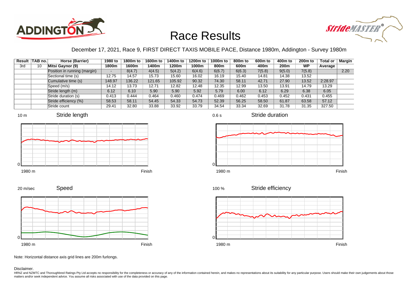



### December 17, 2021, Race 9, FIRST DIRECT TAXIS MOBILE PACE, Distance 1980m, Addington - Survey 1980m

|     | Result TAB no. | Horse (Barrier)              | 1980 to                  | 1800m to | 1600m to | 1400m to | 1200m to | 1000m to | 800m to | 600 <sub>m</sub> to | 400m to | 200 <sub>m</sub> to | <b>Total or</b> | <b>Margin</b> |
|-----|----------------|------------------------------|--------------------------|----------|----------|----------|----------|----------|---------|---------------------|---------|---------------------|-----------------|---------------|
| 3rd | 10             | Mitsi Gaynor (9)             | 1800m                    | 1600m    | 1400m    | 1200m    | 1000m    | 800m     | 600m    | 400m                | 200m    | <b>WP</b>           | Average         |               |
|     |                | Position in running (margin) | $\overline{\phantom{0}}$ | 8(4.7)   | 4(4.5)   | 5(4.2)   | 6(4.6)   | 6(6.7)   | 6(6.3)  | 7(5.8)              | 9(5.0)  | 7(5.8)              |                 | 2.20          |
|     |                | Sectional time (s)           | 12.75                    | 14.57    | 15.73    | 15.60    | 16.02    | 16.19    | 15.40   | 14.81               | 14.38   | 13.52               |                 |               |
|     |                | Cumulative time (s)          | 148.97                   | 136.22   | 121.65   | 105.92   | 90.32    | 74.30    | 58.11   | 42.71               | 27.90   | 13.52               | 2:28.97         |               |
|     |                | Speed (m/s)                  | 14.12                    | 13.73    | 12.71    | 12.82    | 12.48    | 12.35    | 12.99   | 13.50               | 13.91   | 14.79               | 13.29           |               |
|     |                | Stride length (m)            | 6.12                     | 6.10     | 5.90     | 5.90     | 5.92     | 5.79     | 6.00    | 6.12                | 6.29    | 6.38                | 6.05            |               |
|     |                | Stride duration (s)          | 0.413                    | 0.444    | 0.464    | 0.460    | 0.474    | 0.469    | 0.462   | 0.453               | 0.452   | 0.431               | 0.455           |               |
|     |                | Stride efficiency (%)        | 58.53                    | 58.11    | 54.45    | 54.33    | 54.73    | 52.39    | 56.25   | 58.50               | 61.87   | 63.58               | 57.12           |               |
|     |                | Stride count                 | 29.41                    | 32.80    | 33.88    | 33.92    | 33.79    | 34.54    | 33.34   | 32.69               | 31.78   | 31.35               | 327.50          |               |









Stride duration

100 %

Stride efficiency



Speed 20 m/sec



Note: Horizontal distance axis grid lines are 200m furlongs.

Disclaimer.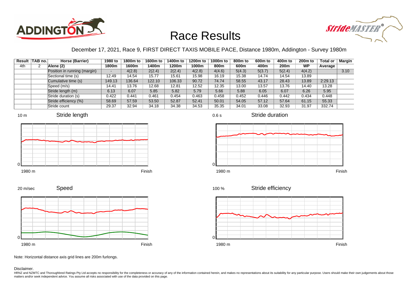



### December 17, 2021, Race 9, FIRST DIRECT TAXIS MOBILE PACE, Distance 1980m, Addington - Survey 1980m

|     | Result   TAB no. | Horse (Barrier)              | 1980 to | 1800m to | 1600m to | 1400m to | 1200m to | 1000m to | 800m to | 600m to | 400m to | 200 <sub>m</sub> to | <b>Total or</b> | Margin |
|-----|------------------|------------------------------|---------|----------|----------|----------|----------|----------|---------|---------|---------|---------------------|-----------------|--------|
| 4th |                  | Alene (2)                    | 1800m   | 1600m    | 1400m    | 1200m    | 1000m    | 800m     | 600m    | 400m    | 200m    | <b>WP</b>           | Average         |        |
|     |                  | Position in running (margin) |         | 4(2.8)   | 2(2.4)   | 2(2.4)   | 4(2.8)   | 4(4.6)   | 5(4.3)  | 5(3.7)  | 5(2.4)  | 4(4.2)              |                 | 3.10   |
|     |                  | Sectional time (s)           | 12.49   | 14.54    | 15.77    | 15.61    | 15.98    | 16.19    | 15.38   | 14.74   | 14.54   | 13.89               |                 |        |
|     |                  | Cumulative time (s)          | 149.13  | 136.64   | 122.10   | 106.33   | 90.72    | 74.74    | 58.55   | 43.17   | 28.43   | 13.89               | 2:29.13         |        |
|     |                  | Speed (m/s)                  | 14.41   | 13.76    | 12.68    | 12.81    | 12.52    | 12.35    | 13.00   | 13.57   | 13.76   | 14.40               | 13.28           |        |
|     |                  | Stride length (m)            | 6.13    | 6.07     | 5.85     | 5.82     | 5.79     | 5.66     | 5.88    | 6.05    | 6.07    | 6.26                | 5.95            |        |
|     |                  | Stride duration (s)          | 0.422   | 0.441    | 0.461    | 0.454    | 0.463    | 0.458    | 0.452   | 0.446   | 0.442   | 0.434               | 0.448           |        |
|     |                  | Stride efficiency (%)        | 58.69   | 57.59    | 53.50    | 52.87    | 52.41    | 50.01    | 54.05   | 57.12   | 57.64   | 61.15               | 55.33           |        |
|     |                  | Stride count                 | 29.37   | 32.94    | 34.18    | 34.38    | 34.53    | 35.35    | 34.01   | 33.08   | 32.93   | 31.97               | 332.74          |        |











Stride efficiency 100 %



Speed 20 m/sec



Note: Horizontal distance axis grid lines are 200m furlongs.

#### Disclaimer.

HRNZ and NZMTC and Thoroughbred Ratings Pty Ltd accepts no responsibility for the completeness or accuracy of any of the information contained herein, and makes no representations about its suitability for any particular p matters and/or seek independent advice. You assume all risks associated with use of the data provided on this page.

0.6 s

Stride duration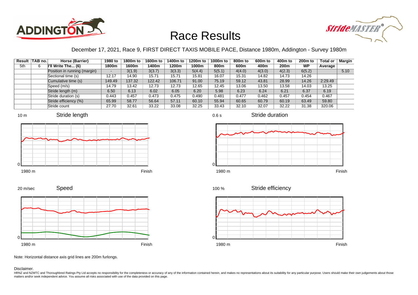



### December 17, 2021, Race 9, FIRST DIRECT TAXIS MOBILE PACE, Distance 1980m, Addington - Survey 1980m

0.6 s

|     | Result   TAB no. | Horse (Barrier)               | 1980 to | 1800m to | 1600m to | 1400m to | 1200m to | 1000m to | 800m to | 600 <sub>m</sub> to | 400m to | 200 <sub>m</sub> to | <b>Total or</b> | Margin |
|-----|------------------|-------------------------------|---------|----------|----------|----------|----------|----------|---------|---------------------|---------|---------------------|-----------------|--------|
| 5th | 6                | $\parallel$ 'll Write The (6) | 1800m   | 1600m    | 1400m    | 1200m    | 1000m    | 800m     | 600m    | 400m                | 200m    | <b>WP</b>           | Average         |        |
|     |                  | Position in running (margin)  |         | 3(1.9)   | 3(3.7)   | 3(3.3)   | 5(4.4)   | 5(5.1)   | 4(4.0)  | 4(3.0)              | 4(2.3)  | 6(5.2)              |                 | 5.10   |
|     |                  | Sectional time (s)            | 12.17   | 14.90    | 15.71    | 15.71    | 15.81    | 16.07    | 15.31   | 14.82               | 14.73   | 14.26               |                 |        |
|     |                  | Cumulative time (s)           | 149.49  | 137.32   | 122.42   | 106.71   | 91.00    | 75.19    | 59.12   | 43.81               | 28.99   | 14.26               | 2:29.49         |        |
|     |                  | Speed (m/s)                   | 14.79   | 13.42    | 12.73    | 12.73    | 12.65    | 12.45    | 13.06   | 13.50               | 13.58   | 14.03               | 13.25           |        |
|     |                  | Stride length (m)             | 6.50    | 6.13     | 6.02     | 6.05     | 6.20     | 5.98     | 6.23    | 6.24                | 6.21    | 6.37                | 6.19            |        |
|     |                  | Stride duration (s)           | 0.443   | 0.457    | 0.473    | 0.475    | 0.490    | 0.481    | 0.477   | 0.462               | 0.457   | 0.454               | 0.467           |        |
|     |                  | Stride efficiency (%)         | 65.99   | 58.77    | 56.64    | 57.11    | 60.10    | 55.94    | 60.65   | 60.79               | 60.19   | 63.49               | 59.80           |        |
|     |                  | Stride count                  | 27.70   | 32.61    | 33.22    | 33.08    | 32.25    | 33.43    | 32.10   | 32.07               | 32.22   | 31.38               | 320.06          |        |







Stride duration



Speed



Stride efficiency 100 %



Note: Horizontal distance axis grid lines are 200m furlongs.

Disclaimer.

20 m/sec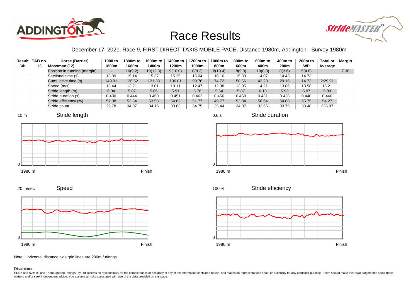



### December 17, 2021, Race 9, FIRST DIRECT TAXIS MOBILE PACE, Distance 1980m, Addington - Survey 1980m

0.6 s

|     | Result   TAB no. | Horse (Barrier)              | 1980 to | 1800m to | 1600m to | 1400m to | 1200m to | 1000m to | 800m to | 600m to | 400m to | 200 <sub>m</sub> to | <b>Total or</b> | Margin |
|-----|------------------|------------------------------|---------|----------|----------|----------|----------|----------|---------|---------|---------|---------------------|-----------------|--------|
| 6th | 13               | Mossman (12)                 | 1800m   | 1600m    | 1400m    | 1200m    | 1000m    | 800m     | 600m    | 400m    | 200m    | <b>WP</b>           | Average         |        |
|     |                  | Position in running (margin) |         | 10(9.2)  | 10(12.3) | 9(10.0)  | 8(8.2)   | 8(10.4)  | 8(9.8)  | 10(8.8) | 8(3.6)  | 5(4.8)              |                 | 7.30   |
|     |                  | Sectional time (s)           | 13.39   | 15.14    | 15.37    | 15.25    | 16.04    | 16.16    | 15.33   | 14.07   | 14.43   | 14.73               |                 |        |
|     |                  | Cumulative time (s)          | 149.91  | 136.52   | 121.38   | 106.01   | 90.76    | 74.72    | 58.56   | 43.23   | 29.16   | 14.73               | 2:29.91         |        |
|     |                  | Speed (m/s)                  | 13.44   | 13.21    | 13.01    | 13.11    | 12.47    | 12.38    | 13.05   | 14.21   | 13.86   | 13.58               | 13.21           |        |
|     |                  | Stride length (m)            | 6.04    | 5.87     | 5.86     | 5.91     | 5.76     | 5.64     | 5.87    | 6.13    | 5.93    | 5.97                | 5.89            |        |
|     |                  | Stride duration (s)          | 0.430   | 0.444    | 0.450    | 0.451    | 0.462    | 0.456    | 0.450   | 0.431   | 0.428   | 0.440               | 0.446           |        |
|     |                  | Stride efficiency (%)        | 57.08   | 53.84    | 53.58    | 54.62    | 51.77    | 49.77    | 53.84   | 58.64   | 54.88   | 55.75               | 54.27           |        |
|     |                  | Stride count                 | 29.78   | 34.07    | 34.15    | 33.83    | 34.75    | 35.44    | 34.07   | 32.65   | 33.75   | 33.48               | 335.97          |        |









Stride duration





Stride efficiency 100 %



Speed 20 m/sec



Note: Horizontal distance axis grid lines are 200m furlongs.

#### Disclaimer.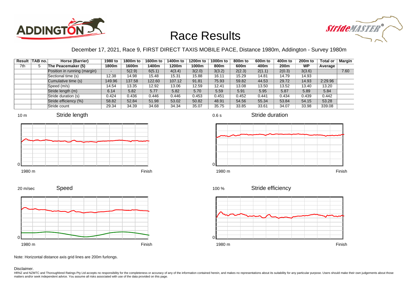



### December 17, 2021, Race 9, FIRST DIRECT TAXIS MOBILE PACE, Distance 1980m, Addington - Survey 1980m

|     | Result   TAB no. | Horse (Barrier)              | 1980 to | 1800m to | 1600m to | 1400m to | 1200m to | 1000m to | 800m to | 600 <sub>m</sub> to | 400m to          | 200 <sub>m</sub> to | <b>Total or</b> | Margin |
|-----|------------------|------------------------------|---------|----------|----------|----------|----------|----------|---------|---------------------|------------------|---------------------|-----------------|--------|
| 7th | 5                | The Peacemaker (5)           | 1800m   | 1600m    | 1400m    | 1200m    | 1000m    | 800m     | 600m    | 400m                | 200 <sub>m</sub> | <b>WP</b>           | Average         |        |
|     |                  | Position in running (margin) |         | 5(2.9)   | 6(5.1)   | 4(3.4)   | 3(2.0)   | 3(3.2)   | 2(2.3)  | 2(1.1)              | 2(0.3)           | 3(3.6)              |                 | 7.60   |
|     |                  | Sectional time (s)           | 12.38   | 14.98    | 15.48    | 15.31    | 15.88    | 16.11    | 15.29   | 14.81               | 14.79            | 14.93               |                 |        |
|     |                  | Cumulative time (s)          | 149.96  | 137.58   | 122.60   | 107.12   | 91.81    | 75.93    | 59.82   | 44.53               | 29.72            | 14.93               | 2:29.96         |        |
|     |                  | Speed (m/s)                  | 14.54   | 13.35    | 12.92    | 13.06    | 12.59    | 12.41    | 13.08   | 13.50               | 13.52            | 13.40               | 13.20           |        |
|     |                  | Stride length (m)            | 6.14    | 5.82     | 5.77     | 5.82     | 5.70     | 5.59     | 5.91    | 5.95                | 5.87             | 5.89                | 5.84            |        |
|     |                  | Stride duration (s)          | 0.424   | 0.436    | 0.446    | 0.446    | 0.453    | 0.451    | 0.452   | 0.441               | 0.434            | 0.439               | 0.442           |        |
|     |                  | Stride efficiency (%)        | 58.82   | 52.84    | 51.98    | 53.02    | 50.82    | 48.91    | 54.56   | 55.34               | 53.84            | 54.15               | 53.28           |        |
|     |                  | Stride count                 | 29.34   | 34.39    | 34.68    | 34.34    | 35.07    | 35.75    | 33.85   | 33.61               | 34.07            | 33.98               | 339.08          |        |











Stride efficiency 100 %



Speed 20 m/sec



Note: Horizontal distance axis grid lines are 200m furlongs.

#### Disclaimer.

HRNZ and NZMTC and Thoroughbred Ratings Pty Ltd accepts no responsibility for the completeness or accuracy of any of the information contained herein, and makes no representations about its suitability for any particular p matters and/or seek independent advice. You assume all risks associated with use of the data provided on this page.



Stride duration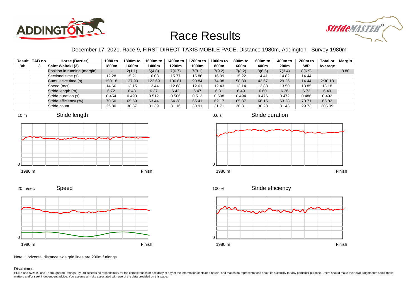



### December 17, 2021, Race 9, FIRST DIRECT TAXIS MOBILE PACE, Distance 1980m, Addington - Survey 1980m

|     | Result TAB no. | Horse (Barrier)              | 1980 to | 1800m to | 1600m to | 1400m to | 1200m to | 1000m to | 800m to | 600 <sub>m</sub> to | 400m to | 200 <sub>m</sub> to | <b>Total or</b> | <b>Margin</b> |
|-----|----------------|------------------------------|---------|----------|----------|----------|----------|----------|---------|---------------------|---------|---------------------|-----------------|---------------|
| 8th |                | Saint Waitaki (3)            | 1800m   | 1600m    | 1400m    | 1200m    | 1000m    | 800m     | 600m    | 400m                | 200m    | <b>WP</b>           | Average         |               |
|     |                | Position in running (margin) |         | 2(1.1)   | 5(4.8)   | 7(6.7)   | 7(8.1)   | 7(9.2)   | 7(8.2)  | 8(6.6)              | 7(3.4)  | 8(6.9)              |                 | 8.80          |
|     |                | Sectional time (s)           | 12.28   | 15.21    | 16.08    | 15.77    | 15.86    | 16.09    | 15.22   | 14.41               | 14.82   | 14.44               |                 |               |
|     |                | Cumulative time (s)          | 150.18  | 137.90   | 122.69   | 106.61   | 90.84    | 74.98    | 58.89   | 43.67               | 29.26   | 14.44               | 2:30.18         |               |
|     |                | Speed (m/s)                  | 14.66   | 13.15    | 12.44    | 12.68    | 12.61    | 12.43    | 13.14   | 13.88               | 13.50   | 13.85               | 13.18           |               |
|     |                | Stride length (m)            | 6.72    | 6.48     | 6.37     | 6.42     | 6.47     | 6.31     | 6.49    | 6.60                | 6.36    | 6.73                | 6.49            |               |
|     |                | Stride duration (s)          | 0.454   | 0.493    | 0.512    | 0.506    | 0.513    | 0.508    | 0.494   | 0.476               | 0.472   | 0.486               | 0.492           |               |
|     |                | Stride efficiency (%)        | 70.50   | 65.59    | 63.44    | 64.38    | 65.41    | 62.17    | 65.87   | 68.15               | 63.28   | 70.71               | 65.82           |               |
|     |                | Stride count                 | 26.80   | 30.87    | 31.39    | 31.16    | 30.91    | 31.71    | 30.81   | 30.28               | 31.43   | 29.73               | 305.09          |               |













Stride duration

Speed 20 m/sec



Note: Horizontal distance axis grid lines are 200m furlongs.

#### Disclaimer.

HRNZ and NZMTC and Thoroughbred Ratings Pty Ltd accepts no responsibility for the completeness or accuracy of any of the information contained herein, and makes no representations about its suitability for any particular p matters and/or seek independent advice. You assume all risks associated with use of the data provided on this page.

0.6 s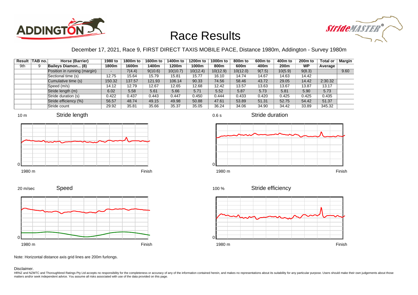



### December 17, 2021, Race 9, FIRST DIRECT TAXIS MOBILE PACE, Distance 1980m, Addington - Survey 1980m

|     | Result TAB no. | Horse (Barrier)              | 1980 to | 1800m to | 1600m to | 1400m to | 1200m to | 1000m to | 800m to  | 600 <sub>m</sub> to | 400m to | 200 <sub>m</sub> to | <b>Total or</b> | Margin |
|-----|----------------|------------------------------|---------|----------|----------|----------|----------|----------|----------|---------------------|---------|---------------------|-----------------|--------|
| 9th |                | Baileys Diamon (8)           | 1800m   | 1600m    | 1400m    | 1200m    | 1000m    | 800m     | 600m     | 400m                | 200m    | <b>WP</b>           | Average         |        |
|     |                | Position in running (margin) | -       | 7(4.4)   | 9(10.6)  | 10(10.7) | 10(12.4) | 10(12.9) | 10(12.0) | 9(7.5)              | 10(5.9) | 9(8.3)              |                 | 9.60   |
|     |                | Sectional time (s)           | 12.75   | 15.64    | 15.79    | 15.81    | 15.77    | 16.10    | 14.74    | 14.67               | 14.63   | 14.42               |                 |        |
|     |                | Cumulative time (s)          | 150.32  | 137.57   | 121.93   | 106.14   | 90.33    | 74.56    | 58.46    | 43.72               | 29.05   | 14.42               | 2:30.32         |        |
|     |                | Speed (m/s)                  | 14.12   | 12.79    | 12.67    | 12.65    | 12.68    | 12.42    | 13.57    | 13.63               | 13.67   | 13.87               | 13.17           |        |
|     |                | Stride length (m)            | 6.02    | 5.58     | 5.61     | 5.66     | 5.71     | 5.52     | 5.87     | 5.73                | 5.81    | 5.90                | 5.73            |        |
|     |                | Stride duration (s)          | 0.422   | 0.437    | 0.443    | 0.447    | 0.450    | 0.444    | 0.433    | 0.420               | 0.425   | 0.425               | 0.435           |        |
|     |                | Stride efficiency (%)        | 56.57   | 48.74    | 49.15    | 49.98    | 50.88    | 47.61    | 53.89    | 51.31               | 52.75   | 54.42               | 51.37           |        |
|     |                | Stride count                 | 29.92   | 35.81    | 35.66    | 35.37    | 35.05    | 36.24    | 34.06    | 34.90               | 34.42   | 33.89               | 345.32          |        |







Stride duration







20 m/sec





Note: Horizontal distance axis grid lines are 200m furlongs.

#### Disclaimer.

HRNZ and NZMTC and Thoroughbred Ratings Pty Ltd accepts no responsibility for the completeness or accuracy of any of the information contained herein, and makes no representations about its suitability for any particular p matters and/or seek independent advice. You assume all risks associated with use of the data provided on this page.

0.6 s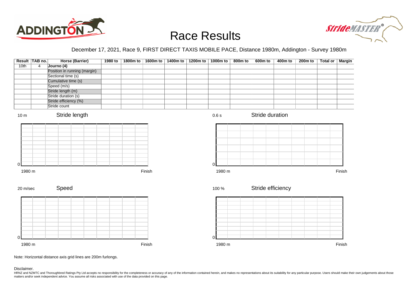



### December 17, 2021, Race 9, FIRST DIRECT TAXIS MOBILE PACE, Distance 1980m, Addington - Survey 1980m

|                          | Result TAB no. | <b>Horse (Barrier)</b>                | 1980 to | 1800m to | 1600m to | 1400m to | 1200m to | $1000m$ to  | 800m to | $\overline{600m}$ to | $\frac{400m}{ }$ to | 200 <sub>m</sub> to | Total or | <b>Margin</b> |
|--------------------------|----------------|---------------------------------------|---------|----------|----------|----------|----------|-------------|---------|----------------------|---------------------|---------------------|----------|---------------|
| 10th                     | $\overline{4}$ | Journo (4)                            |         |          |          |          |          |             |         |                      |                     |                     |          |               |
|                          |                | Position in running (margin)          |         |          |          |          |          |             |         |                      |                     |                     |          |               |
|                          |                | Sectional time (s)                    |         |          |          |          |          |             |         |                      |                     |                     |          |               |
|                          |                | Cumulative time (s)                   |         |          |          |          |          |             |         |                      |                     |                     |          |               |
|                          |                | Speed (m/s)                           |         |          |          |          |          |             |         |                      |                     |                     |          |               |
|                          |                | Stride length (m)                     |         |          |          |          |          |             |         |                      |                     |                     |          |               |
|                          |                | Stride duration (s)                   |         |          |          |          |          |             |         |                      |                     |                     |          |               |
|                          |                | Stride efficiency (%)<br>Stride count |         |          |          |          |          |             |         |                      |                     |                     |          |               |
|                          |                |                                       |         |          |          |          |          |             |         |                      |                     |                     |          |               |
| 10 <sub>m</sub>          |                | Stride length                         |         |          |          |          |          | 0.6 s       |         | Stride duration      |                     |                     |          |               |
| $\overline{0}$<br>1980 m |                |                                       |         |          | Finish   |          |          | 0<br>1980 m |         |                      |                     |                     |          | Finish        |
|                          |                |                                       |         |          |          |          |          |             |         |                      |                     |                     |          |               |
| 20 m/sec                 |                | Speed                                 |         |          |          |          |          | 100 %       |         | Stride efficiency    |                     |                     |          |               |
|                          |                |                                       |         |          |          |          |          |             |         |                      |                     |                     |          |               |
|                          |                |                                       |         |          |          |          |          |             |         |                      |                     |                     |          |               |
|                          |                |                                       |         |          |          |          |          |             |         |                      |                     |                     |          |               |
|                          |                |                                       |         |          |          |          |          |             |         |                      |                     |                     |          |               |
|                          |                |                                       |         |          |          |          |          |             |         |                      |                     |                     |          |               |
|                          |                |                                       |         |          |          |          |          |             |         |                      |                     |                     |          |               |
|                          |                |                                       |         |          |          |          |          |             |         |                      |                     |                     |          |               |
| $\Omega$                 |                |                                       |         |          |          |          |          | $\Omega$    |         |                      |                     |                     |          |               |
| 1980 m                   |                |                                       |         |          | Finish   |          |          | 1980 m      |         |                      |                     |                     |          | Finish        |

Note: Horizontal distance axis grid lines are 200m furlongs.

Disclaimer.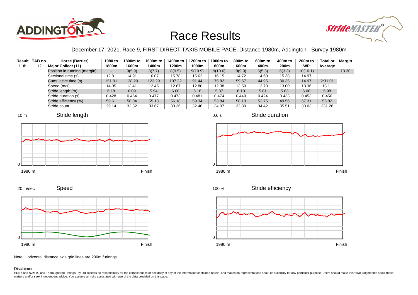



### December 17, 2021, Race 9, FIRST DIRECT TAXIS MOBILE PACE, Distance 1980m, Addington - Survey 1980m

|      | Result   TAB no. | Horse (Barrier)              | 1980 to | 1800m to | 1600m to | 1400m to | 1200m to | 1000m to | 800m to | 600 <sub>m</sub> to | 400m to | 200 <sub>m</sub> to | <b>Total or</b> | Margin |
|------|------------------|------------------------------|---------|----------|----------|----------|----------|----------|---------|---------------------|---------|---------------------|-----------------|--------|
| 11th | 12               | <b>Major Collect (11)</b>    | 1800m   | 1600m    | 1400m    | 1200m    | 1000m    | 800m     | 600m    | 400m                | 200m    | <b>WP</b>           | Average         |        |
|      |                  | Position in running (margin) |         | 9(5.9)   | 8(7.7)   | 8(9.5)   | 9(10.9)  | 9(10.6)  | 9(9.9)  | 6(5.3)              | 6(3.3)  | 10(10.1)            |                 | 13.30  |
|      |                  | Sectional time (s)           | 12.81   | 14.91    | 16.07    | 15.78    | 15.62    | 16.15    | 14.72   | 14.60               | 15.38   | 14.97               |                 |        |
|      |                  | Cumulative time (s)          | 151.01  | 138.20   | 123.29   | 107.22   | 91.44    | 75.82    | 59.67   | 44.95               | 30.35   | 14.97               | 2:31.01         |        |
|      |                  | Speed (m/s)                  | 14.05   | 13.41    | 12.45    | 12.67    | 12.80    | 12.38    | 13.59   | 13.70               | 13.00   | 13.36               | 13.11           |        |
|      |                  | Stride length (m)            | 6.18    | 6.09     | 5.94     | 6.00     | 6.16     | 5.87     | 6.10    | 5.81                | 5.63    | 6.06                | 5.98            |        |
|      |                  | Stride duration (s)          | 0.428   | 0.454    | 0.477    | 0.473    | 0.481    | 0.474    | 0.449   | 0.424               | 0.433   | 0.453               | 0.456           |        |
|      |                  | Stride efficiency (%)        | 59.61   | 58.04    | 55.13    | 56.18    | 59.34    | 53.84    | 58.10   | 52.75               | 49.56   | 57.31               | 55.82           |        |
|      |                  | Stride count                 | 29.14   | 32.82    | 33.67    | 33.36    | 32.46    | 34.07    | 32.80   | 34.42               | 35.51   | 33.03               | 331.28          |        |







Stride duration









Note: Horizontal distance axis grid lines are 200m furlongs.

#### Disclaimer.

HRNZ and NZMTC and Thoroughbred Ratings Pty Ltd accepts no responsibility for the completeness or accuracy of any of the information contained herein, and makes no representations about its suitability for any particular p matters and/or seek independent advice. You assume all risks associated with use of the data provided on this page.

0.6 s